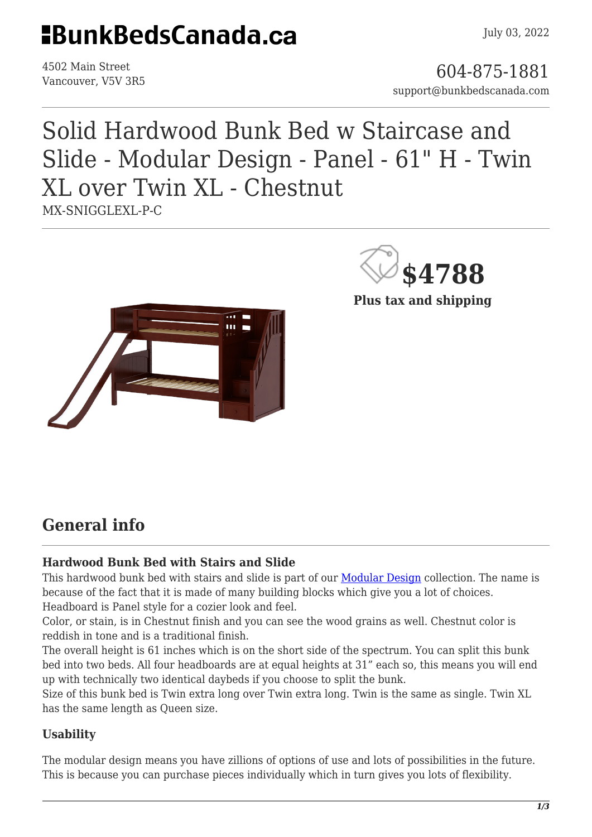## **HBunkBedsCanada.ca**

July 03, 2022

4502 Main Street

4502 Main Street<br>Vancouver, V5V 3R5 support@bunkbedscanada.com

### Solid Hardwood Bunk Bed w Staircase and Slide - Modular Design - Panel - 61" H - Twin XL over Twin XL - Chestnut MX-SNIGGLEXL-P-C



**\$4788**

**Plus tax and shipping**

### **General info**

#### **Hardwood Bunk Bed with Stairs and Slide**

This hardwood bunk bed with stairs and slide is part of our **Modular Design** collection. The name is because of the fact that it is made of many building blocks which give you a lot of choices. Headboard is Panel style for a cozier look and feel.

Color, or stain, is in Chestnut finish and you can see the wood grains as well. Chestnut color is reddish in tone and is a traditional finish.

The overall height is 61 inches which is on the short side of the spectrum. You can split this bunk bed into two beds. All four headboards are at equal heights at 31" each so, this means you will end up with technically two identical daybeds if you choose to split the bunk.

Size of this bunk bed is Twin extra long over Twin extra long. Twin is the same as single. Twin XL has the same length as Queen size.

#### **Usability**

The modular design means you have zillions of options of use and lots of possibilities in the future. This is because you can purchase pieces individually which in turn gives you lots of flexibility.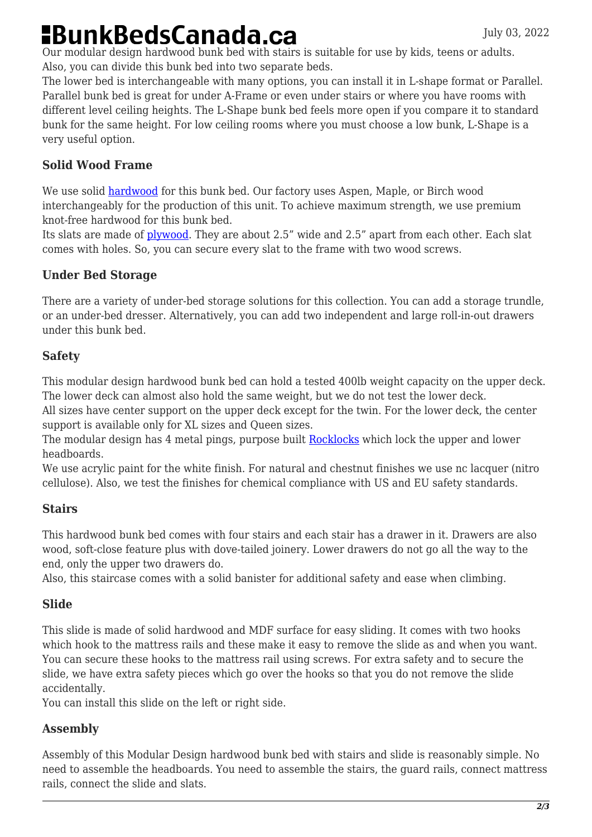# **BunkBedsCanada.ca**

Our modular design hardwood bunk bed with stairs is suitable for use by kids, teens or adults. Also, you can divide this bunk bed into two separate beds.

The lower bed is interchangeable with many options, you can install it in L-shape format or Parallel. Parallel bunk bed is great for under A-Frame or even under stairs or where you have rooms with different level ceiling heights. The L-Shape bunk bed feels more open if you compare it to standard bunk for the same height. For low ceiling rooms where you must choose a low bunk, L-Shape is a very useful option.

#### **Solid Wood Frame**

We use solid [hardwood](https://en.wikipedia.org/wiki/Hardwood) for this bunk bed. Our factory uses Aspen, Maple, or Birch wood interchangeably for the production of this unit. To achieve maximum strength, we use premium knot-free hardwood for this bunk bed.

Its slats are made of [plywood.](https://en.wikipedia.org/wiki/Plywood) They are about 2.5" wide and 2.5" apart from each other. Each slat comes with holes. So, you can secure every slat to the frame with two wood screws.

#### **Under Bed Storage**

There are a variety of under-bed storage solutions for this collection. You can add a storage trundle, or an under-bed dresser. Alternatively, you can add two independent and large roll-in-out drawers under this bunk bed.

#### **Safety**

This modular design hardwood bunk bed can hold a tested 400lb weight capacity on the upper deck. The lower deck can almost also hold the same weight, but we do not test the lower deck.

All sizes have center support on the upper deck except for the twin. For the lower deck, the center support is available only for XL sizes and Queen sizes.

The modular design has 4 metal pings, purpose built [Rocklocks](https://bunkbedscanada.com/rock-locks-set-of-4.html) which lock the upper and lower headboards.

We use acrylic paint for the white finish. For natural and chestnut finishes we use nc lacquer (nitro cellulose). Also, we test the finishes for chemical compliance with US and EU safety standards.

#### **Stairs**

This hardwood bunk bed comes with four stairs and each stair has a drawer in it. Drawers are also wood, soft-close feature plus with dove-tailed joinery. Lower drawers do not go all the way to the end, only the upper two drawers do.

Also, this staircase comes with a solid banister for additional safety and ease when climbing.

#### **Slide**

This slide is made of solid hardwood and MDF surface for easy sliding. It comes with two hooks which hook to the mattress rails and these make it easy to remove the slide as and when you want. You can secure these hooks to the mattress rail using screws. For extra safety and to secure the slide, we have extra safety pieces which go over the hooks so that you do not remove the slide accidentally.

You can install this slide on the left or right side.

#### **Assembly**

Assembly of this Modular Design hardwood bunk bed with stairs and slide is reasonably simple. No need to assemble the headboards. You need to assemble the stairs, the guard rails, connect mattress rails, connect the slide and slats.